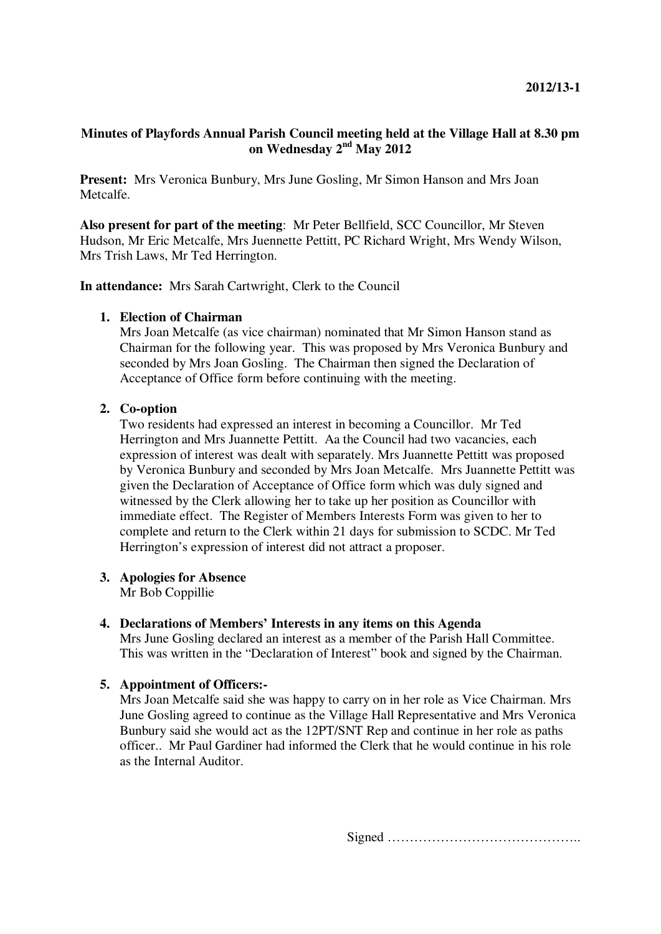# **Minutes of Playfords Annual Parish Council meeting held at the Village Hall at 8.30 pm on Wednesday 2nd May 2012**

**Present:** Mrs Veronica Bunbury, Mrs June Gosling, Mr Simon Hanson and Mrs Joan Metcalfe.

**Also present for part of the meeting**: Mr Peter Bellfield, SCC Councillor, Mr Steven Hudson, Mr Eric Metcalfe, Mrs Juennette Pettitt, PC Richard Wright, Mrs Wendy Wilson, Mrs Trish Laws, Mr Ted Herrington.

**In attendance:** Mrs Sarah Cartwright, Clerk to the Council

### **1. Election of Chairman**

Mrs Joan Metcalfe (as vice chairman) nominated that Mr Simon Hanson stand as Chairman for the following year. This was proposed by Mrs Veronica Bunbury and seconded by Mrs Joan Gosling. The Chairman then signed the Declaration of Acceptance of Office form before continuing with the meeting.

# **2. Co-option**

Two residents had expressed an interest in becoming a Councillor. Mr Ted Herrington and Mrs Juannette Pettitt. Aa the Council had two vacancies, each expression of interest was dealt with separately. Mrs Juannette Pettitt was proposed by Veronica Bunbury and seconded by Mrs Joan Metcalfe. Mrs Juannette Pettitt was given the Declaration of Acceptance of Office form which was duly signed and witnessed by the Clerk allowing her to take up her position as Councillor with immediate effect. The Register of Members Interests Form was given to her to complete and return to the Clerk within 21 days for submission to SCDC. Mr Ted Herrington's expression of interest did not attract a proposer.

## **3. Apologies for Absence**

Mr Bob Coppillie

## **4. Declarations of Members' Interests in any items on this Agenda**

Mrs June Gosling declared an interest as a member of the Parish Hall Committee. This was written in the "Declaration of Interest" book and signed by the Chairman.

## **5. Appointment of Officers:-**

Mrs Joan Metcalfe said she was happy to carry on in her role as Vice Chairman. Mrs June Gosling agreed to continue as the Village Hall Representative and Mrs Veronica Bunbury said she would act as the 12PT/SNT Rep and continue in her role as paths officer.. Mr Paul Gardiner had informed the Clerk that he would continue in his role as the Internal Auditor.

Signed ……………………………………..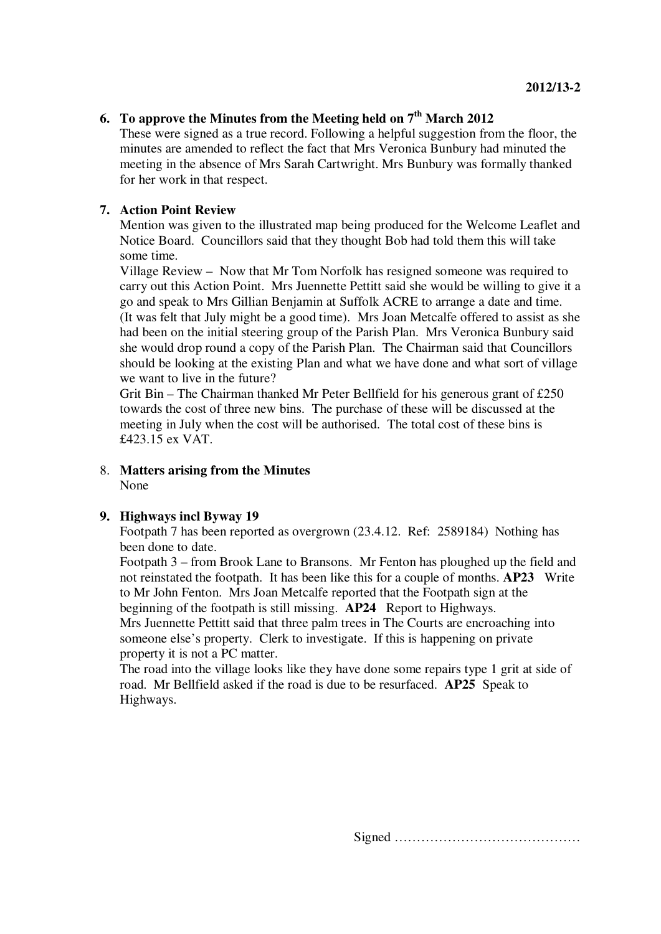# **6.** To approve the Minutes from the Meeting held on  $7<sup>th</sup>$  March 2012

These were signed as a true record. Following a helpful suggestion from the floor, the minutes are amended to reflect the fact that Mrs Veronica Bunbury had minuted the meeting in the absence of Mrs Sarah Cartwright. Mrs Bunbury was formally thanked for her work in that respect.

# **7. Action Point Review**

Mention was given to the illustrated map being produced for the Welcome Leaflet and Notice Board. Councillors said that they thought Bob had told them this will take some time.

Village Review – Now that Mr Tom Norfolk has resigned someone was required to carry out this Action Point. Mrs Juennette Pettitt said she would be willing to give it a go and speak to Mrs Gillian Benjamin at Suffolk ACRE to arrange a date and time. (It was felt that July might be a good time). Mrs Joan Metcalfe offered to assist as she had been on the initial steering group of the Parish Plan. Mrs Veronica Bunbury said she would drop round a copy of the Parish Plan. The Chairman said that Councillors should be looking at the existing Plan and what we have done and what sort of village we want to live in the future?

Grit Bin – The Chairman thanked Mr Peter Bellfield for his generous grant of £250 towards the cost of three new bins. The purchase of these will be discussed at the meeting in July when the cost will be authorised. The total cost of these bins is £423.15 ex VAT.

8. **Matters arising from the Minutes** None

## **9. Highways incl Byway 19**

Footpath 7 has been reported as overgrown (23.4.12. Ref: 2589184) Nothing has been done to date.

Footpath 3 – from Brook Lane to Bransons. Mr Fenton has ploughed up the field and not reinstated the footpath. It has been like this for a couple of months. **AP23** Write to Mr John Fenton. Mrs Joan Metcalfe reported that the Footpath sign at the beginning of the footpath is still missing. **AP24** Report to Highways.

Mrs Juennette Pettitt said that three palm trees in The Courts are encroaching into someone else's property. Clerk to investigate. If this is happening on private property it is not a PC matter.

The road into the village looks like they have done some repairs type 1 grit at side of road. Mr Bellfield asked if the road is due to be resurfaced. **AP25** Speak to Highways.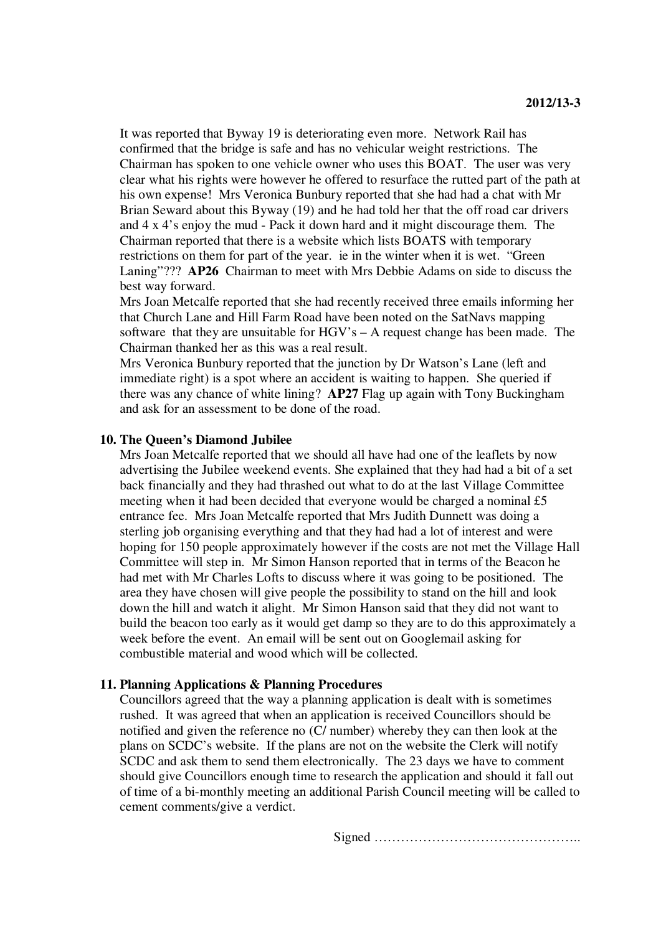It was reported that Byway 19 is deteriorating even more. Network Rail has confirmed that the bridge is safe and has no vehicular weight restrictions. The Chairman has spoken to one vehicle owner who uses this BOAT. The user was very clear what his rights were however he offered to resurface the rutted part of the path at his own expense! Mrs Veronica Bunbury reported that she had had a chat with Mr Brian Seward about this Byway (19) and he had told her that the off road car drivers and 4 x 4's enjoy the mud - Pack it down hard and it might discourage them. The Chairman reported that there is a website which lists BOATS with temporary restrictions on them for part of the year. ie in the winter when it is wet. "Green Laning"??? **AP26** Chairman to meet with Mrs Debbie Adams on side to discuss the best way forward.

Mrs Joan Metcalfe reported that she had recently received three emails informing her that Church Lane and Hill Farm Road have been noted on the SatNavs mapping software that they are unsuitable for  $HGV's - A$  request change has been made. The Chairman thanked her as this was a real result.

Mrs Veronica Bunbury reported that the junction by Dr Watson's Lane (left and immediate right) is a spot where an accident is waiting to happen. She queried if there was any chance of white lining? **AP27** Flag up again with Tony Buckingham and ask for an assessment to be done of the road.

#### **10. The Queen's Diamond Jubilee**

Mrs Joan Metcalfe reported that we should all have had one of the leaflets by now advertising the Jubilee weekend events. She explained that they had had a bit of a set back financially and they had thrashed out what to do at the last Village Committee meeting when it had been decided that everyone would be charged a nominal £5 entrance fee. Mrs Joan Metcalfe reported that Mrs Judith Dunnett was doing a sterling job organising everything and that they had had a lot of interest and were hoping for 150 people approximately however if the costs are not met the Village Hall Committee will step in. Mr Simon Hanson reported that in terms of the Beacon he had met with Mr Charles Lofts to discuss where it was going to be positioned. The area they have chosen will give people the possibility to stand on the hill and look down the hill and watch it alight. Mr Simon Hanson said that they did not want to build the beacon too early as it would get damp so they are to do this approximately a week before the event. An email will be sent out on Googlemail asking for combustible material and wood which will be collected.

#### **11. Planning Applications & Planning Procedures**

Councillors agreed that the way a planning application is dealt with is sometimes rushed. It was agreed that when an application is received Councillors should be notified and given the reference no (C/ number) whereby they can then look at the plans on SCDC's website. If the plans are not on the website the Clerk will notify SCDC and ask them to send them electronically. The 23 days we have to comment should give Councillors enough time to research the application and should it fall out of time of a bi-monthly meeting an additional Parish Council meeting will be called to cement comments/give a verdict.

Signed ………………………………………..